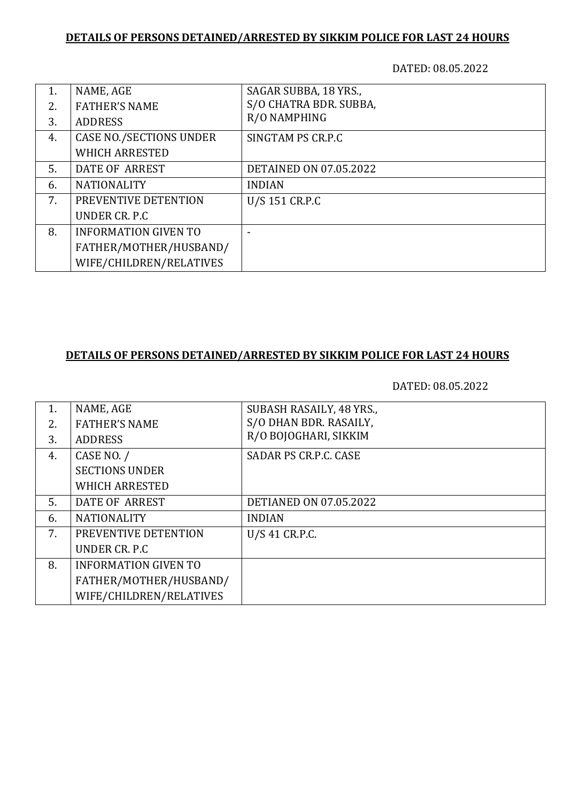## **DETAILS OF PERSONS DETAINED/ARRESTED BY SIKKIM POLICE FOR LAST 24 HOURS**

DATED: 08.05.2022

| 1. | NAME, AGE                      | SAGAR SUBBA, 18 YRS.,         |
|----|--------------------------------|-------------------------------|
| 2. | <b>FATHER'S NAME</b>           | S/O CHATRA BDR. SUBBA,        |
| 3. | <b>ADDRESS</b>                 | R/O NAMPHING                  |
| 4. | <b>CASE NO./SECTIONS UNDER</b> | SINGTAM PS CR.P.C             |
|    | <b>WHICH ARRESTED</b>          |                               |
| 5. | DATE OF ARREST                 | <b>DETAINED ON 07.05.2022</b> |
| 6. | <b>NATIONALITY</b>             | <b>INDIAN</b>                 |
| 7. | PREVENTIVE DETENTION           | U/S 151 CR.P.C                |
|    | UNDER CR. P.C.                 |                               |
| 8. | <b>INFORMATION GIVEN TO</b>    |                               |
|    | FATHER/MOTHER/HUSBAND/         |                               |
|    | WIFE/CHILDREN/RELATIVES        |                               |

## **DETAILS OF PERSONS DETAINED/ARRESTED BY SIKKIM POLICE FOR LAST 24 HOURS**

DATED: 08.05.2022

|    | NAME, AGE                   | SUBASH RASAILY, 48 YRS.,      |
|----|-----------------------------|-------------------------------|
| 2. | <b>FATHER'S NAME</b>        | S/O DHAN BDR. RASAILY,        |
| 3. | <b>ADDRESS</b>              | R/O BOJOGHARI, SIKKIM         |
| 4. | CASE NO. /                  | <b>SADAR PS CR.P.C. CASE</b>  |
|    | <b>SECTIONS UNDER</b>       |                               |
|    | <b>WHICH ARRESTED</b>       |                               |
| 5. | DATE OF ARREST              | <b>DETIANED ON 07.05.2022</b> |
| 6. | <b>NATIONALITY</b>          | <b>INDIAN</b>                 |
| 7. | PREVENTIVE DETENTION        | U/S 41 CR.P.C.                |
|    | UNDER CR. P.C.              |                               |
| 8. | <b>INFORMATION GIVEN TO</b> |                               |
|    | FATHER/MOTHER/HUSBAND/      |                               |
|    | WIFE/CHILDREN/RELATIVES     |                               |